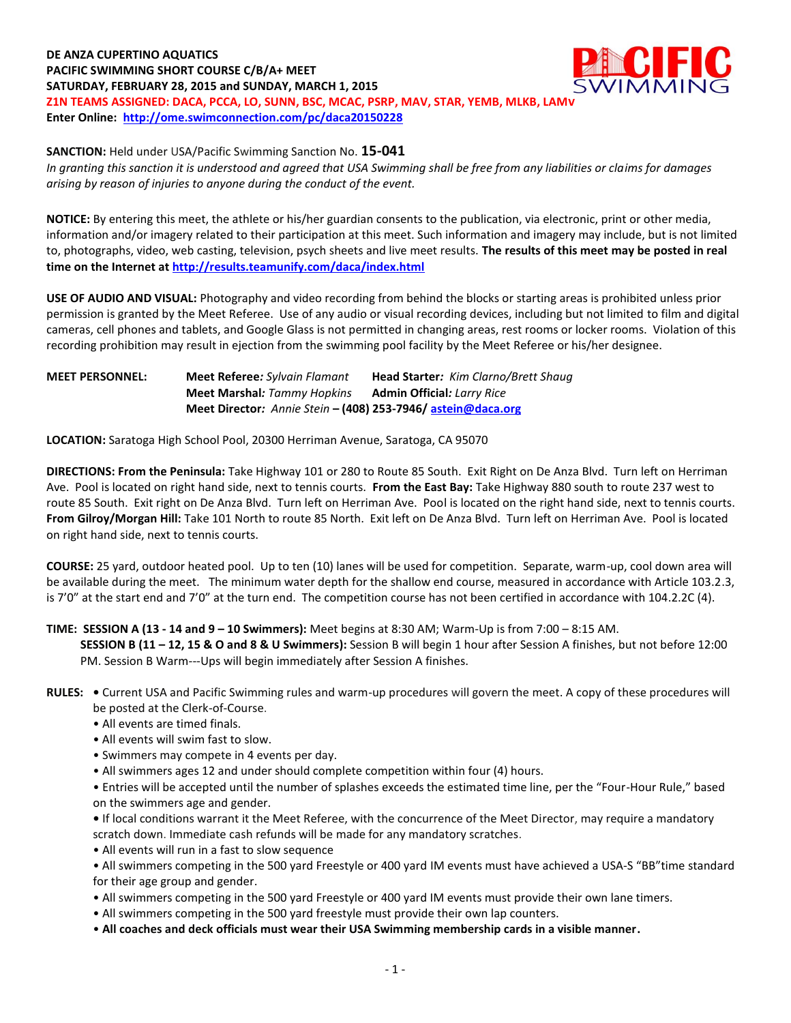**DE ANZA CUPERTINO AQUATICS PACIFIC SWIMMING SHORT COURSE C/B/A+ MEET SATURDAY, FEBRUARY 28, 2015 and SUNDAY, MARCH 1, 2015 Z1N TEAMS ASSIGNED: DACA, PCCA, LO, SUNN, BSC, MCAC, PSRP, MAV, STAR, YEMB, MLKB, LAMV Enter Online: <http://ome.swimconnection.com/pc/daca20150228>**



**SANCTION:** Held under USA/Pacific Swimming Sanction No. **15-041**

*In granting this sanction it is understood and agreed that USA Swimming shall be free from any liabilities or claims for damages arising by reason of injuries to anyone during the conduct of the event.*

**NOTICE:** By entering this meet, the athlete or his/her guardian consents to the publication, via electronic, print or other media, information and/or imagery related to their participation at this meet. Such information and imagery may include, but is not limited to, photographs, video, web casting, television, psych sheets and live meet results. **The results of this meet may be posted in real time on the Internet a[t http://results.teamunify.com/daca/index.html](http://results.teamunify.com/daca/index.html)**

**USE OF AUDIO AND VISUAL:** Photography and video recording from behind the blocks or starting areas is prohibited unless prior permission is granted by the Meet Referee. Use of any audio or visual recording devices, including but not limited to film and digital cameras, cell phones and tablets, and Google Glass is not permitted in changing areas, rest rooms or locker rooms. Violation of this recording prohibition may result in ejection from the swimming pool facility by the Meet Referee or his/her designee.

**MEET PERSONNEL: Meet Referee***: Sylvain Flamant* **Head Starter***: Kim Clarno/Brett Shaug* **Meet Marshal***: Tammy Hopkins* **Admin Official***: Larry Rice* **Meet Director***: Annie Stein* **– (408) 253-7946/ [astein@daca.org](mailto:astein@daca.org)**

**LOCATION:** Saratoga High School Pool, 20300 Herriman Avenue, Saratoga, CA 95070

**DIRECTIONS: From the Peninsula:** Take Highway 101 or 280 to Route 85 South. Exit Right on De Anza Blvd. Turn left on Herriman Ave. Pool is located on right hand side, next to tennis courts. **From the East Bay:** Take Highway 880 south to route 237 west to route 85 South. Exit right on De Anza Blvd. Turn left on Herriman Ave. Pool is located on the right hand side, next to tennis courts. **From Gilroy/Morgan Hill:** Take 101 North to route 85 North. Exit left on De Anza Blvd. Turn left on Herriman Ave. Pool is located on right hand side, next to tennis courts.

**COURSE:** 25 yard, outdoor heated pool. Up to ten (10) lanes will be used for competition. Separate, warm-up, cool down area will be available during the meet. The minimum water depth for the shallow end course, measured in accordance with Article 103.2.3, is 7'0" at the start end and 7'0" at the turn end. The competition course has not been certified in accordance with 104.2.2C (4).

## **TIME: SESSION A (13 - 14 and 9 – 10 Swimmers):** Meet begins at 8:30 AM; Warm-Up is from 7:00 – 8:15 AM.

**SESSION B (11 – 12, 15 & O and 8 & U Swimmers):** Session B will begin 1 hour after Session A finishes, but not before 12:00 PM. Session B Warm--‐Ups will begin immediately after Session A finishes.

### **RULES: •** Current USA and Pacific Swimming rules and warm-up procedures will govern the meet. A copy of these procedures will be posted at the Clerk-of-Course.

- All events are timed finals.
- All events will swim fast to slow.
- Swimmers may compete in 4 events per day.
- All swimmers ages 12 and under should complete competition within four (4) hours.

• Entries will be accepted until the number of splashes exceeds the estimated time line, per the "Four-Hour Rule," based on the swimmers age and gender.

**•** If local conditions warrant it the Meet Referee, with the concurrence of the Meet Director, may require a mandatory scratch down. Immediate cash refunds will be made for any mandatory scratches.

• All events will run in a fast to slow sequence

• All swimmers competing in the 500 yard Freestyle or 400 yard IM events must have achieved a USA-S "BB"time standard for their age group and gender.

- All swimmers competing in the 500 yard Freestyle or 400 yard IM events must provide their own lane timers.
- All swimmers competing in the 500 yard freestyle must provide their own lap counters.

• **All coaches and deck officials must wear their USA Swimming membership cards in a visible manner.**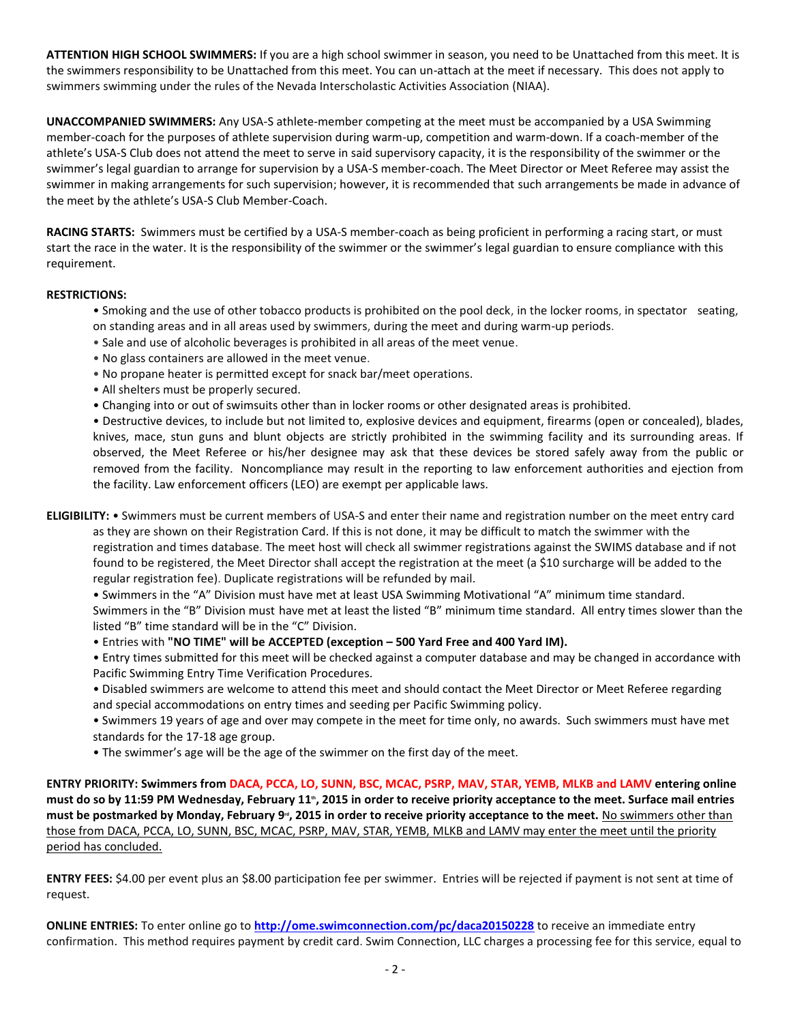**ATTENTION HIGH SCHOOL SWIMMERS:** If you are a high school swimmer in season, you need to be Unattached from this meet. It is the swimmers responsibility to be Unattached from this meet. You can un-attach at the meet if necessary. This does not apply to swimmers swimming under the rules of the Nevada Interscholastic Activities Association (NIAA).

**UNACCOMPANIED SWIMMERS:** Any USA-S athlete-member competing at the meet must be accompanied by a USA Swimming member-coach for the purposes of athlete supervision during warm-up, competition and warm-down. If a coach-member of the athlete's USA-S Club does not attend the meet to serve in said supervisory capacity, it is the responsibility of the swimmer or the swimmer's legal guardian to arrange for supervision by a USA-S member-coach. The Meet Director or Meet Referee may assist the swimmer in making arrangements for such supervision; however, it is recommended that such arrangements be made in advance of the meet by the athlete's USA-S Club Member-Coach.

**RACING STARTS:** Swimmers must be certified by a USA-S member-coach as being proficient in performing a racing start, or must start the race in the water. It is the responsibility of the swimmer or the swimmer's legal guardian to ensure compliance with this requirement.

### **RESTRICTIONS:**

- Smoking and the use of other tobacco products is prohibited on the pool deck, in the locker rooms, in spectator seating, on standing areas and in all areas used by swimmers, during the meet and during warm-up periods.
- Sale and use of alcoholic beverages is prohibited in all areas of the meet venue.
- No glass containers are allowed in the meet venue.
- No propane heater is permitted except for snack bar/meet operations.
- All shelters must be properly secured.
- Changing into or out of swimsuits other than in locker rooms or other designated areas is prohibited.

• Destructive devices, to include but not limited to, explosive devices and equipment, firearms (open or concealed), blades, knives, mace, stun guns and blunt objects are strictly prohibited in the swimming facility and its surrounding areas. If observed, the Meet Referee or his/her designee may ask that these devices be stored safely away from the public or removed from the facility. Noncompliance may result in the reporting to law enforcement authorities and ejection from the facility. Law enforcement officers (LEO) are exempt per applicable laws.

**ELIGIBILITY:** • Swimmers must be current members of USA-S and enter their name and registration number on the meet entry card as they are shown on their Registration Card. If this is not done, it may be difficult to match the swimmer with the registration and times database. The meet host will check all swimmer registrations against the SWIMS database and if not found to be registered, the Meet Director shall accept the registration at the meet (a \$10 surcharge will be added to the regular registration fee). Duplicate registrations will be refunded by mail.

• Swimmers in the "A" Division must have met at least USA Swimming Motivational "A" minimum time standard. Swimmers in the "B" Division must have met at least the listed "B" minimum time standard. All entry times slower than the listed "B" time standard will be in the "C" Division.

• Entries with **"NO TIME" will be ACCEPTED (exception – 500 Yard Free and 400 Yard IM).**

• Entry times submitted for this meet will be checked against a computer database and may be changed in accordance with Pacific Swimming Entry Time Verification Procedures.

- Disabled swimmers are welcome to attend this meet and should contact the Meet Director or Meet Referee regarding and special accommodations on entry times and seeding per Pacific Swimming policy.
- Swimmers 19 years of age and over may compete in the meet for time only, no awards. Such swimmers must have met standards for the 17-18 age group.
- The swimmer's age will be the age of the swimmer on the first day of the meet.

**ENTRY PRIORITY: Swimmers from DACA, PCCA, LO, SUNN, BSC, MCAC, PSRP, MAV, STAR, YEMB, MLKB and LAMV entering online must do so by 11:59 PM Wednesday, February 11 th, 2015 in order to receive priority acceptance to the meet. Surface mail entries**  must be postmarked by Monday, February 9<sup>.,</sup> 2015 in order to receive priority acceptance to the meet. <u>No swimmers other than</u> those from DACA, PCCA, LO, SUNN, BSC, MCAC, PSRP, MAV, STAR, YEMB, MLKB and LAMV may enter the meet until the priority period has concluded.

**ENTRY FEES:** \$4.00 per event plus an \$8.00 participation fee per swimmer. Entries will be rejected if payment is not sent at time of request.

**ONLINE ENTRIES:** To enter online go to **<http://ome.swimconnection.com/pc/daca20150228>** to receive an immediate entry confirmation. This method requires payment by credit card. Swim Connection, LLC charges a processing fee for this service, equal to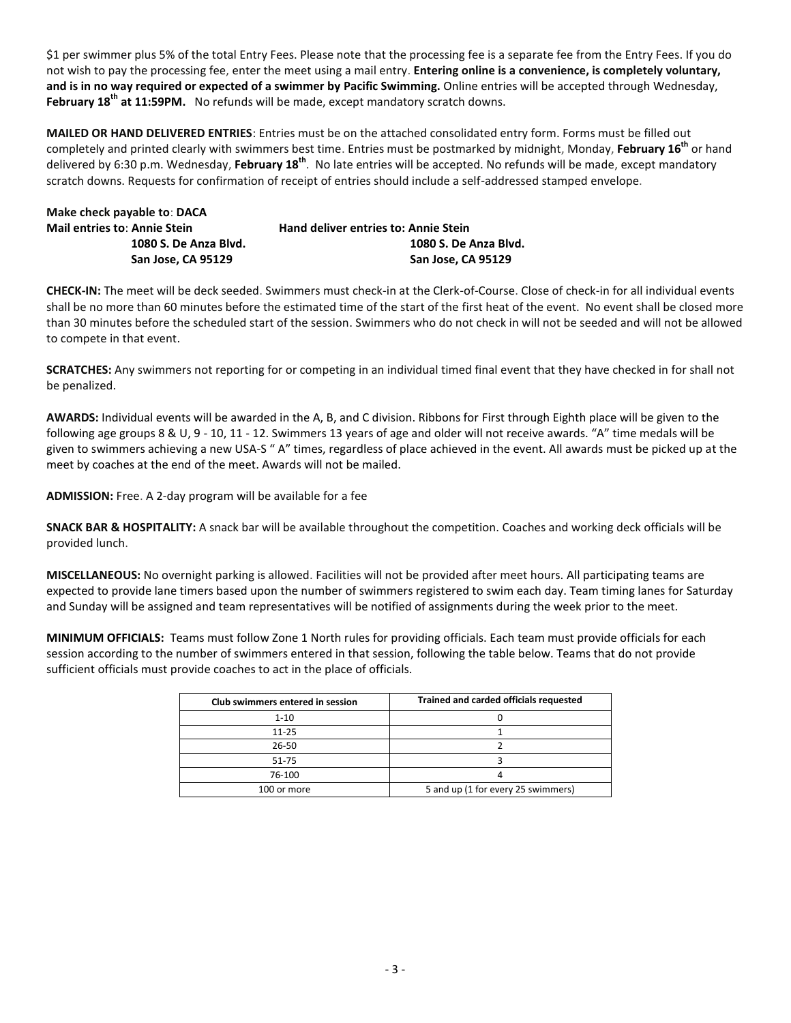\$1 per swimmer plus 5% of the total Entry Fees. Please note that the processing fee is a separate fee from the Entry Fees. If you do not wish to pay the processing fee, enter the meet using a mail entry. **Entering online is a convenience, is completely voluntary, and is in no way required or expected of a swimmer by Pacific Swimming.** Online entries will be accepted through Wednesday, **February 18th at 11:59PM.** No refunds will be made, except mandatory scratch downs.

**MAILED OR HAND DELIVERED ENTRIES**: Entries must be on the attached consolidated entry form. Forms must be filled out completely and printed clearly with swimmers best time. Entries must be postmarked by midnight, Monday, **February 16th** or hand delivered by 6:30 p.m. Wednesday, **February 18th** . No late entries will be accepted. No refunds will be made, except mandatory scratch downs. Requests for confirmation of receipt of entries should include a self-addressed stamped envelope.

| Make check payable to: DACA         |                                             |
|-------------------------------------|---------------------------------------------|
| <b>Mail entries to: Annie Stein</b> | <b>Hand deliver entries to: Annie Stein</b> |
| 1080 S. De Anza Blvd.               | 1080 S. De Anza Blyd.                       |
| San Jose, CA 95129                  | San Jose, CA 95129                          |

**CHECK-IN:** The meet will be deck seeded. Swimmers must check-in at the Clerk-of-Course. Close of check-in for all individual events shall be no more than 60 minutes before the estimated time of the start of the first heat of the event. No event shall be closed more than 30 minutes before the scheduled start of the session. Swimmers who do not check in will not be seeded and will not be allowed to compete in that event.

**SCRATCHES:** Any swimmers not reporting for or competing in an individual timed final event that they have checked in for shall not be penalized.

**AWARDS:** Individual events will be awarded in the A, B, and C division. Ribbons for First through Eighth place will be given to the following age groups 8 & U, 9 ‐ 10, 11 - 12. Swimmers 13 years of age and older will not receive awards. "A" time medals will be given to swimmers achieving a new USA-S " A" times, regardless of place achieved in the event. All awards must be picked up at the meet by coaches at the end of the meet. Awards will not be mailed.

**ADMISSION:** Free. A 2-day program will be available for a fee

**SNACK BAR & HOSPITALITY:** A snack bar will be available throughout the competition. Coaches and working deck officials will be provided lunch.

**MISCELLANEOUS:** No overnight parking is allowed. Facilities will not be provided after meet hours. All participating teams are expected to provide lane timers based upon the number of swimmers registered to swim each day. Team timing lanes for Saturday and Sunday will be assigned and team representatives will be notified of assignments during the week prior to the meet.

**MINIMUM OFFICIALS:** Teams must follow Zone 1 North rules for providing officials. Each team must provide officials for each session according to the number of swimmers entered in that session, following the table below. Teams that do not provide sufficient officials must provide coaches to act in the place of officials.

| Club swimmers entered in session | Trained and carded officials requested |
|----------------------------------|----------------------------------------|
| $1 - 10$                         |                                        |
| $11 - 25$                        |                                        |
| 26-50                            |                                        |
| 51-75                            |                                        |
| 76-100                           |                                        |
| 100 or more                      | 5 and up (1 for every 25 swimmers)     |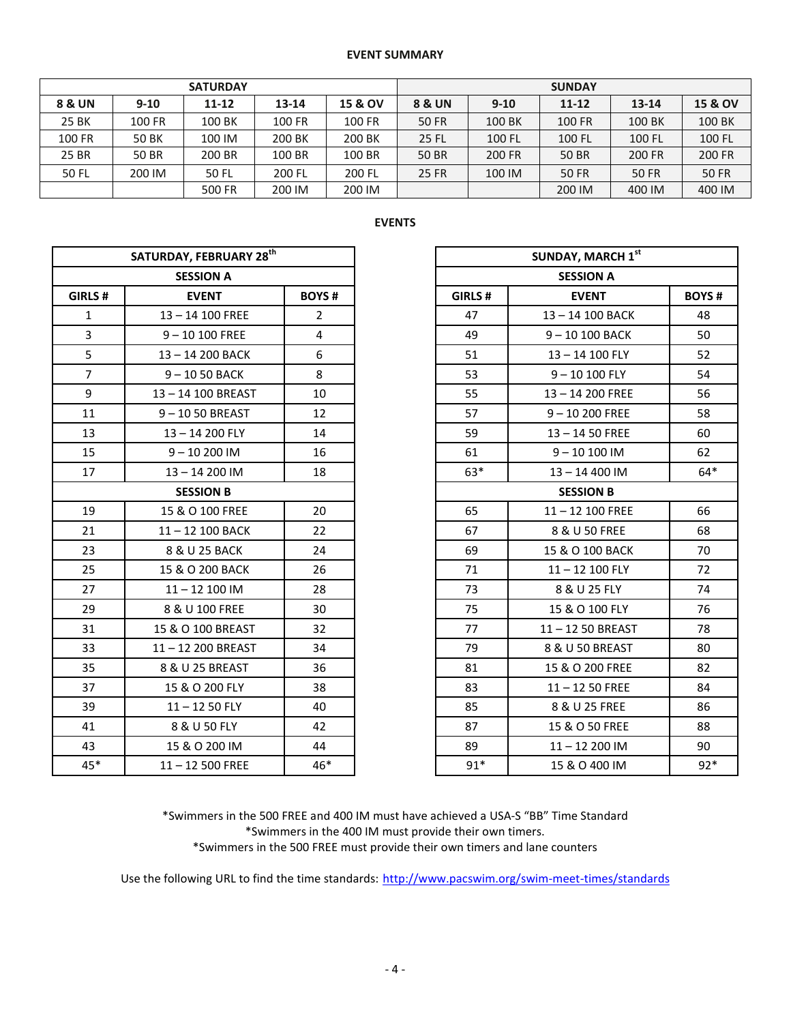#### **EVENT SUMMARY**

|        |              | <b>SUNDAY</b> |        |                    |                   |          |              |              |              |
|--------|--------------|---------------|--------|--------------------|-------------------|----------|--------------|--------------|--------------|
| 8 & UN | $9-10$       | $11 - 12$     | 13-14  | <b>15 &amp; OV</b> | <b>8 &amp; UN</b> | $9 - 10$ | $11 - 12$    | $13 - 14$    | 15 & OV      |
| 25 BK  | 100 FR       | 100 BK        | 100 FR | 100 FR             | <b>50 FR</b>      | 100 BK   | 100 FR       | 100 BK       | 100 BK       |
| 100 FR | 50 BK        | 100 IM        | 200 BK | 200 BK             | <b>25 FL</b>      | 100 FL   | 100 FL       | 100 FL       | 100 FL       |
| 25 BR  | <b>50 BR</b> | 200 BR        | 100 BR | 100 BR             | <b>50 BR</b>      | 200 FR   | <b>50 BR</b> | 200 FR       | 200 FR       |
| 50 FL  | 200 IM       | 50 FL         | 200 FL | 200 FL             | <b>25 FR</b>      | 100 IM   | <b>50 FR</b> | <b>50 FR</b> | <b>50 FR</b> |
|        |              | 500 FR        | 200 IM | 200 IM             |                   |          | 200 IM       | 400 IM       | 400 IM       |

# **EVENTS**

|                | SATURDAY, FEBRUARY 28 <sup>th</sup> |                |         | SUNDAY, MARCH 1st  |             |
|----------------|-------------------------------------|----------------|---------|--------------------|-------------|
|                | <b>SESSION A</b>                    |                |         | <b>SESSION A</b>   |             |
| GIRLS #        | <b>EVENT</b>                        | <b>BOYS#</b>   | GIRLS # | <b>EVENT</b>       | <b>BOYS</b> |
| $\mathbf{1}$   | 13-14 100 FREE                      | $\overline{2}$ | 47      | 13-14 100 BACK     | 48          |
| $\overline{3}$ | $9 - 10100$ FREE                    | 4              | 49      | 9-10 100 BACK      | 50          |
| 5              | 13-14 200 BACK                      | 6              | 51      | 13-14 100 FLY      | 52          |
| $\overline{7}$ | $9 - 1050$ BACK                     | 8              | 53      | $9 - 10100$ FLY    | 54          |
| 9              | 13-14 100 BREAST                    | 10             | 55      | 13-14 200 FREE     | 56          |
| 11             | 9-1050 BREAST                       | 12             | 57      | $9 - 10200$ FREE   | 58          |
| 13             | 13-14 200 FLY                       | 14             | 59      | $13 - 1450$ FREE   | 60          |
| 15             | $9 - 10200$ IM                      | 16             | 61      | $9 - 10100$ IM     | 62          |
| 17             | $13 - 14200$ IM                     | 18             | $63*$   | 13-14 400 IM       | $64*$       |
|                | <b>SESSION B</b>                    |                |         | <b>SESSION B</b>   |             |
| 19             | 15 & O 100 FREE                     | 20             | 65      | $11 - 12$ 100 FREE | 66          |
| 21             | 11-12 100 BACK                      | 22             | 67      | 8 & U 50 FREE      | 68          |
| 23             | 8 & U 25 BACK                       | 24             | 69      | 15 & O 100 BACK    | 70          |
| 25             | 15 & O 200 BACK                     | 26             | 71      | $11 - 12$ 100 FLY  | 72          |
| 27             | $11 - 12100$ IM                     | 28             | 73      | 8 & U 25 FLY       | 74          |
| 29             | 8 & U 100 FREE                      | 30             | 75      | 15 & O 100 FLY     | 76          |
| 31             | 15 & O 100 BREAST                   | 32             | 77      | 11-12 50 BREAST    | 78          |
| 33             | 11-12 200 BREAST                    | 34             | 79      | 8 & U 50 BREAST    | 80          |
| 35             | 8 & U 25 BREAST                     | 36             | 81      | 15 & O 200 FREE    | 82          |
| 37             | 15 & O 200 FLY                      | 38             | 83      | $11 - 1250$ FREE   | 84          |
| 39             | $11 - 1250$ FLY                     | 40             | 85      | 8 & U 25 FREE      | 86          |
| 41             | 8 & U 50 FLY                        | 42             | 87      | 15 & O 50 FREE     | 88          |
| 43             | 15 & O 200 IM                       | 44             | 89      | $11 - 12200$ IM    | 90          |
| 45*            | $11 - 12500$ FREE                   | 46*            | $91*$   | 15 & O 400 IM      | $92*$       |

|                | SATURDAY, FEBRUARY 28 <sup>th</sup> |                |         | SUNDAY, MARCH 1st |                    |              |  |  |  |
|----------------|-------------------------------------|----------------|---------|-------------------|--------------------|--------------|--|--|--|
|                | <b>SESSION A</b>                    |                |         |                   | <b>SESSION A</b>   |              |  |  |  |
| GIRLS#         | <b>EVENT</b>                        | <b>BOYS#</b>   | GIRLS # |                   | <b>EVENT</b>       | <b>BOYS#</b> |  |  |  |
| $\mathbf{1}$   | 13-14 100 FREE                      | $\overline{2}$ | 47      |                   | 13-14 100 BACK     | 48           |  |  |  |
| $\overline{3}$ | $9 - 10100$ FREE                    | $\overline{4}$ | 49      |                   | 9-10 100 BACK      | 50           |  |  |  |
| 5              | 13-14 200 BACK                      | 6              | 51      |                   | 13-14 100 FLY      | 52           |  |  |  |
| $\overline{7}$ | $9 - 1050$ BACK                     | 8              | 53      |                   | $9 - 10100$ FLY    | 54           |  |  |  |
| 9              | 13-14 100 BREAST                    | 10             | 55      |                   | $13 - 14200$ FREE  | 56           |  |  |  |
| 11             | 9-1050 BREAST                       | 12             | 57      |                   | $9 - 10200$ FREE   | 58           |  |  |  |
| 13             | 13-14 200 FLY                       | 14             | 59      |                   | $13 - 1450$ FREE   | 60           |  |  |  |
| 15             | $9 - 10200$ IM                      | 16             | 61      |                   | $9 - 10100$ IM     | 62           |  |  |  |
| 17             | 13-14 200 IM                        | 18             |         | $63*$             | 13-14 400 IM       | $64*$        |  |  |  |
|                | <b>SESSION B</b>                    |                |         | <b>SESSION B</b>  |                    |              |  |  |  |
| 19             | 15 & O 100 FREE                     | 20             | 65      |                   | $11 - 12$ 100 FREE | 66           |  |  |  |
| 21             | 11-12 100 BACK                      | 22             | 67      |                   | 8 & U 50 FREE      | 68           |  |  |  |
| 23             | 8 & U 25 BACK                       | 24             | 69      |                   | 15 & O 100 BACK    | 70           |  |  |  |
| 25             | 15 & O 200 BACK                     | 26             | 71      |                   | $11 - 12$ 100 FLY  | 72           |  |  |  |
| 27             | $11 - 12$ 100 IM                    | 28             | 73      |                   | 8 & U 25 FLY       | 74           |  |  |  |
| 29             | 8 & U 100 FREE                      | 30             | 75      |                   | 15 & O 100 FLY     | 76           |  |  |  |
| 31             | 15 & O 100 BREAST                   | 32             | 77      |                   | 11-12 50 BREAST    | 78           |  |  |  |
| 33             | 11-12 200 BREAST                    | 34             | 79      |                   | 8 & U 50 BREAST    | 80           |  |  |  |
| 35             | 8 & U 25 BREAST                     | 36             | 81      |                   | 15 & O 200 FREE    | 82           |  |  |  |
| 37             | 15 & O 200 FLY                      | 38             | 83      |                   | $11 - 1250$ FREE   | 84           |  |  |  |
| 39             | $11 - 1250$ FLY                     | 40             | 85      |                   | 8 & U 25 FREE      | 86           |  |  |  |
| 41             | 8 & U 50 FLY                        | 42             | 87      |                   | 15 & O 50 FREE     | 88           |  |  |  |
| 43             | 15 & O 200 IM                       | 44             | 89      |                   | $11 - 12200$ IM    | 90           |  |  |  |
| 45*            | $11 - 12500$ FREE                   | $46*$          |         | $91*$             | 15 & O 400 IM      | $92*$        |  |  |  |

\*Swimmers in the 500 FREE and 400 IM must have achieved a USA-S "BB" Time Standard \*Swimmers in the 400 IM must provide their own timers. \*Swimmers in the 500 FREE must provide their own timers and lane counters

Use the following URL to find the time standards: <http://www.pacswim.org/swim-meet-times/standards>